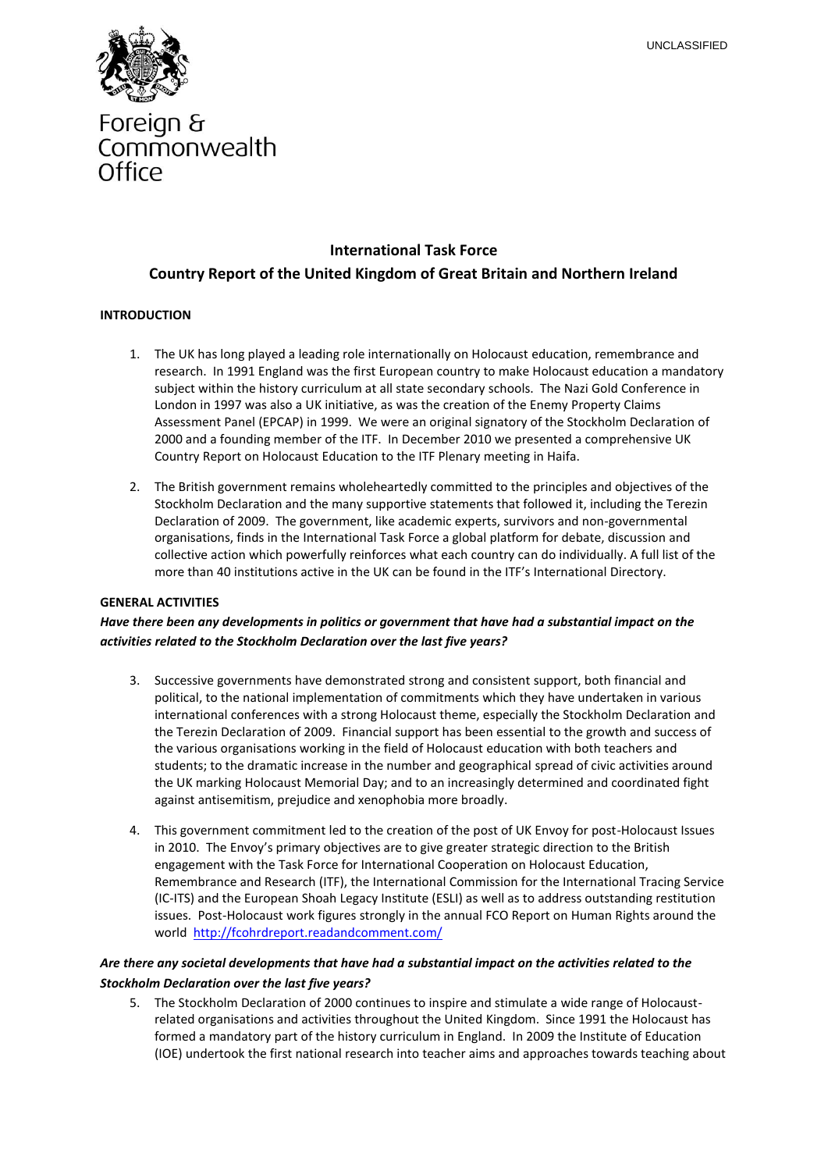

# Foreign & Commonwealth Office

# **International Task Force**

# **Country Report of the United Kingdom of Great Britain and Northern Ireland**

### **INTRODUCTION**

- 1. The UK has long played a leading role internationally on Holocaust education, remembrance and research. In 1991 England was the first European country to make Holocaust education a mandatory subject within the history curriculum at all state secondary schools. The Nazi Gold Conference in London in 1997 was also a UK initiative, as was the creation of the Enemy Property Claims Assessment Panel (EPCAP) in 1999. We were an original signatory of the Stockholm Declaration of 2000 and a founding member of the ITF. In December 2010 we presented a comprehensive UK Country Report on Holocaust Education to the ITF Plenary meeting in Haifa.
- 2. The British government remains wholeheartedly committed to the principles and objectives of the Stockholm Declaration and the many supportive statements that followed it, including the Terezin Declaration of 2009. The government, like academic experts, survivors and non-governmental organisations, finds in the International Task Force a global platform for debate, discussion and collective action which powerfully reinforces what each country can do individually. A full list of the more than 40 institutions active in the UK can be found in the ITF's International Directory.

#### **GENERAL ACTIVITIES**

### *Have there been any developments in politics or government that have had a substantial impact on the activities related to the Stockholm Declaration over the last five years?*

- 3. Successive governments have demonstrated strong and consistent support, both financial and political, to the national implementation of commitments which they have undertaken in various international conferences with a strong Holocaust theme, especially the Stockholm Declaration and the Terezin Declaration of 2009. Financial support has been essential to the growth and success of the various organisations working in the field of Holocaust education with both teachers and students; to the dramatic increase in the number and geographical spread of civic activities around the UK marking Holocaust Memorial Day; and to an increasingly determined and coordinated fight against antisemitism, prejudice and xenophobia more broadly.
- 4. This government commitment led to the creation of the post of UK Envoy for post-Holocaust Issues in 2010. The Envoy's primary objectives are to give greater strategic direction to the British engagement with the Task Force for International Cooperation on Holocaust Education, Remembrance and Research (ITF), the International Commission for the International Tracing Service (IC-ITS) and the European Shoah Legacy Institute (ESLI) as well as to address outstanding restitution issues. Post-Holocaust work figures strongly in the annual FCO Report on Human Rights around the world <http://fcohrdreport.readandcomment.com/>

### *Are there any societal developments that have had a substantial impact on the activities related to the Stockholm Declaration over the last five years?*

5. The Stockholm Declaration of 2000 continues to inspire and stimulate a wide range of Holocaustrelated organisations and activities throughout the United Kingdom. Since 1991 the Holocaust has formed a mandatory part of the history curriculum in England. In 2009 the Institute of Education (IOE) undertook the first national research into teacher aims and approaches towards teaching about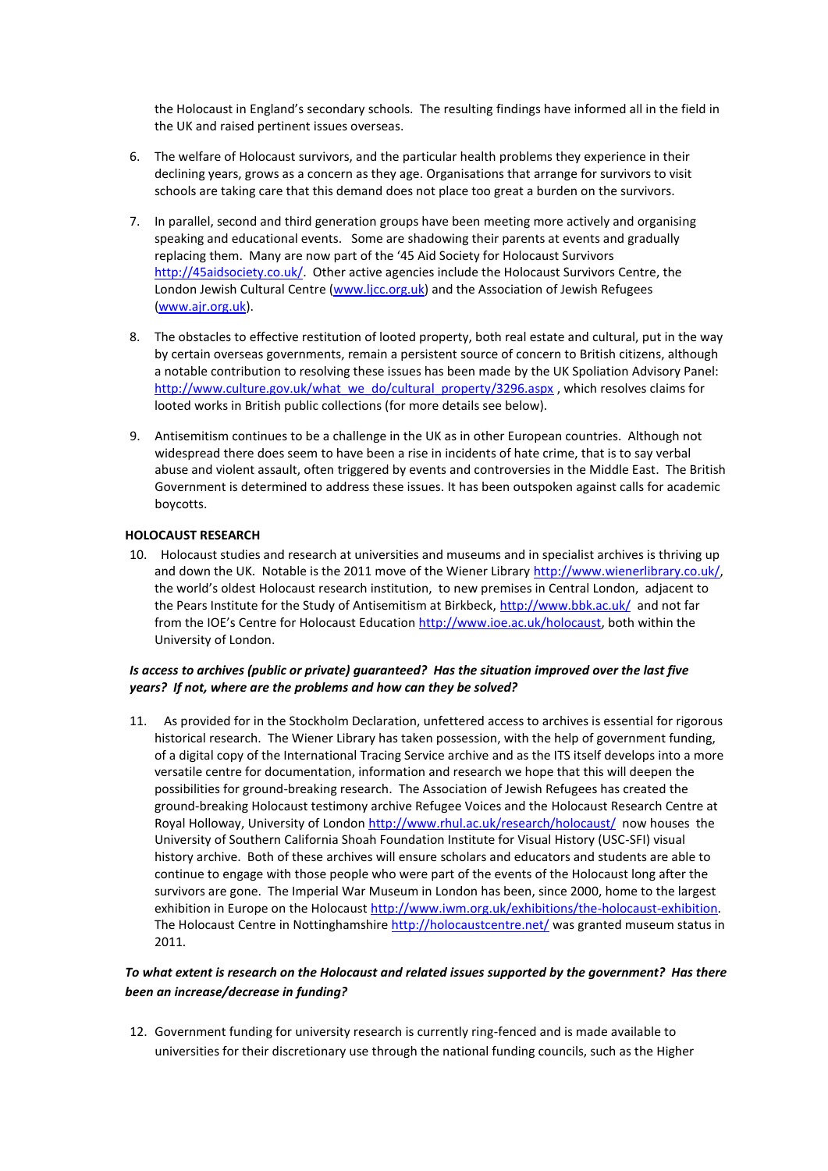the Holocaust in England's secondary schools. The resulting findings have informed all in the field in the UK and raised pertinent issues overseas.

- 6. The welfare of Holocaust survivors, and the particular health problems they experience in their declining years, grows as a concern as they age. Organisations that arrange for survivors to visit schools are taking care that this demand does not place too great a burden on the survivors.
- 7. In parallel, second and third generation groups have been meeting more actively and organising speaking and educational events. Some are shadowing their parents at events and gradually replacing them. Many are now part of the '45 Aid Society for Holocaust Survivors [http://45aidsociety.co.uk/.](http://45aidsociety.co.uk/) Other active agencies include the Holocaust Survivors Centre, the London Jewish Cultural Centre [\(www.ljcc.org.uk\)](http://www.ljcc.org.uk/) and the Association of Jewish Refugees [\(www.ajr.org.uk\)](http://www.ajr.org.uk/).
- 8. The obstacles to effective restitution of looted property, both real estate and cultural, put in the way by certain overseas governments, remain a persistent source of concern to British citizens, although a notable contribution to resolving these issues has been made by the UK Spoliation Advisory Panel: [http://www.culture.gov.uk/what\\_we\\_do/cultural\\_property/3296.aspx](http://www.culture.gov.uk/what_we_do/cultural_property/3296.aspx), which resolves claims for looted works in British public collections (for more details see below).
- 9. Antisemitism continues to be a challenge in the UK as in other European countries. Although not widespread there does seem to have been a rise in incidents of hate crime, that is to say verbal abuse and violent assault, often triggered by events and controversies in the Middle East. The British Government is determined to address these issues. It has been outspoken against calls for academic boycotts.

#### **HOLOCAUST RESEARCH**

10.Holocaust studies and research at universities and museums and in specialist archives is thriving up and down the UK. Notable is the 2011 move of the Wiener Librar[y http://www.wienerlibrary.co.uk/,](http://www.wienerlibrary.co.uk/) the world's oldest Holocaust research institution, to new premises in Central London, adjacent to the Pears Institute for the Study of Antisemitism at Birkbeck,<http://www.bbk.ac.uk/>and not far from the IOE's Centre for Holocaust Education [http://www.ioe.ac.uk/holocaust,](http://www.ioe.ac.uk/holocaust) both within the University of London.

#### *Is access to archives (public or private) guaranteed? Has the situation improved over the last five years? If not, where are the problems and how can they be solved?*

11.As provided for in the Stockholm Declaration, unfettered access to archives is essential for rigorous historical research. The Wiener Library has taken possession, with the help of government funding, of a digital copy of the International Tracing Service archive and as the ITS itself develops into a more versatile centre for documentation, information and research we hope that this will deepen the possibilities for ground-breaking research. The Association of Jewish Refugees has created the ground-breaking Holocaust testimony archive Refugee Voices and the Holocaust Research Centre at Royal Holloway, University of London<http://www.rhul.ac.uk/research/holocaust/>now houses the University of Southern California Shoah Foundation Institute for Visual History (USC-SFI) visual history archive. Both of these archives will ensure scholars and educators and students are able to continue to engage with those people who were part of the events of the Holocaust long after the survivors are gone. The Imperial War Museum in London has been, since 2000, home to the largest exhibition in Europe on the Holocaus[t http://www.iwm.org.uk/exhibitions/the-holocaust-exhibition.](http://www.iwm.org.uk/exhibitions/the-holocaust-exhibition) The Holocaust Centre in Nottinghamshir[e http://holocaustcentre.net/](http://holocaustcentre.net/) was granted museum status in 2011.

### *To what extent is research on the Holocaust and related issues supported by the government? Has there been an increase/decrease in funding?*

12. Government funding for university research is currently ring-fenced and is made available to universities for their discretionary use through the national funding councils, such as the Higher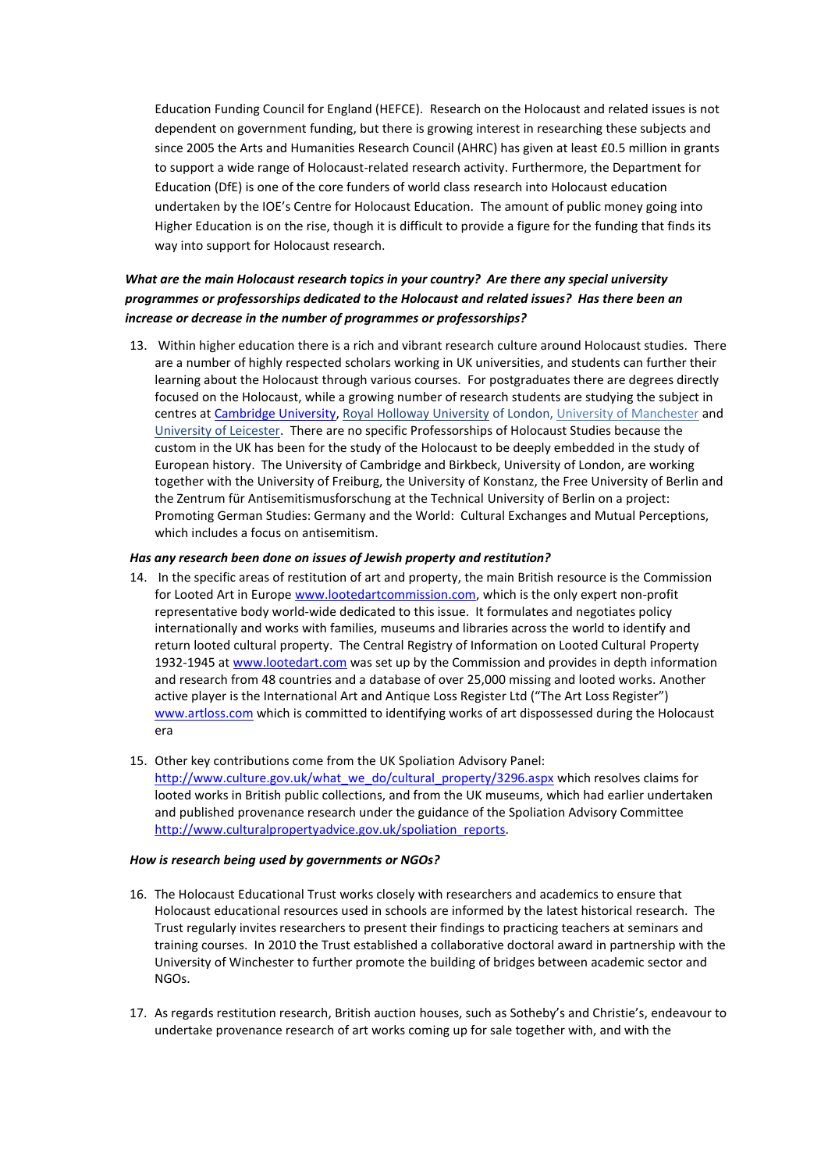Education Funding Council for England (HEFCE). Research on the Holocaust and related issues is not dependent on government funding, but there is growing interest in researching these subjects and since 2005 the Arts and Humanities Research Council (AHRC) has given at least £0.5 million in grants to support a wide range of Holocaust-related research activity. Furthermore, the Department for Education (DfE) is one of the core funders of world class research into Holocaust education undertaken by the IOE's Centre for Holocaust Education. The amount of public money going into Higher Education is on the rise, though it is difficult to provide a figure for the funding that finds its way into support for Holocaust research.

# *What are the main Holocaust research topics in your country? Are there any special university programmes or professorships dedicated to the Holocaust and related issues? Has there been an increase or decrease in the number of programmes or professorships?*

13. Within higher education there is a rich and vibrant research culture around Holocaust studies. There are a number of highly respected scholars working in UK universities, and students can further their learning about the Holocaust through various courses. For postgraduates there are degrees directly focused on the Holocaust, while a growing number of research students are studying the subject in centres at [Cambridge University,](http://www.cam.ac.uk/) [Royal Holloway University](http://www.rhul.ac.uk/Research/Holocaust/) of London[, University of Manchester](http://www.humanities.manchester.ac.uk/combinedstudies/undergraduate/studyareas/holocaust/) and [University of Leicester.](http://www.le.ac.uk/hi/centres/burton/) There are no specific Professorships of Holocaust Studies because the custom in the UK has been for the study of the Holocaust to be deeply embedded in the study of European history. The University of Cambridge and Birkbeck, University of London, are working together with the University of Freiburg, the University of Konstanz, the Free University of Berlin and the Zentrum für Antisemitismusforschung at the Technical University of Berlin on a project: Promoting German Studies: Germany and the World: Cultural Exchanges and Mutual Perceptions, which includes a focus on antisemitism.

#### *Has any research been done on issues of Jewish property and restitution?*

- 14. In the specific areas of restitution of art and property, the main British resource is the Commission for Looted Art in Europe [www.lootedartcommission.com,](http://www.lootedartcommission.com/) which is the only expert non-profit representative body world-wide dedicated to this issue. It formulates and negotiates policy internationally and works with families, museums and libraries across the world to identify and return looted cultural property. The Central Registry of Information on Looted Cultural Property 1932-1945 a[t www.lootedart.com](http://www.lootedart.com/) was set up by the Commission and provides in depth information and research from 48 countries and a database of over 25,000 missing and looted works. Another active player is the International Art and Antique Loss Register Ltd ("The Art Loss Register") [www.artloss.com](http://www.artloss.com/) which is committed to identifying works of art dispossessed during the Holocaust era
- 15. Other key contributions come from the UK Spoliation Advisory Panel: [http://www.culture.gov.uk/what\\_we\\_do/cultural\\_property/3296.aspx](http://www.culture.gov.uk/what_we_do/cultural_property/3296.aspx) which resolves claims for looted works in British public collections, and from the UK museums, which had earlier undertaken and published provenance research under the guidance of the Spoliation Advisory Committee [http://www.culturalpropertyadvice.gov.uk/spoliation\\_reports.](http://www.culturalpropertyadvice.gov.uk/spoliation_reports)

#### *How is research being used by governments or NGOs?*

- 16. The Holocaust Educational Trust works closely with researchers and academics to ensure that Holocaust educational resources used in schools are informed by the latest historical research. The Trust regularly invites researchers to present their findings to practicing teachers at seminars and training courses. In 2010 the Trust established a collaborative doctoral award in partnership with the University of Winchester to further promote the building of bridges between academic sector and NGOs.
- 17. As regards restitution research, British auction houses, such as Sotheby's and Christie's, endeavour to undertake provenance research of art works coming up for sale together with, and with the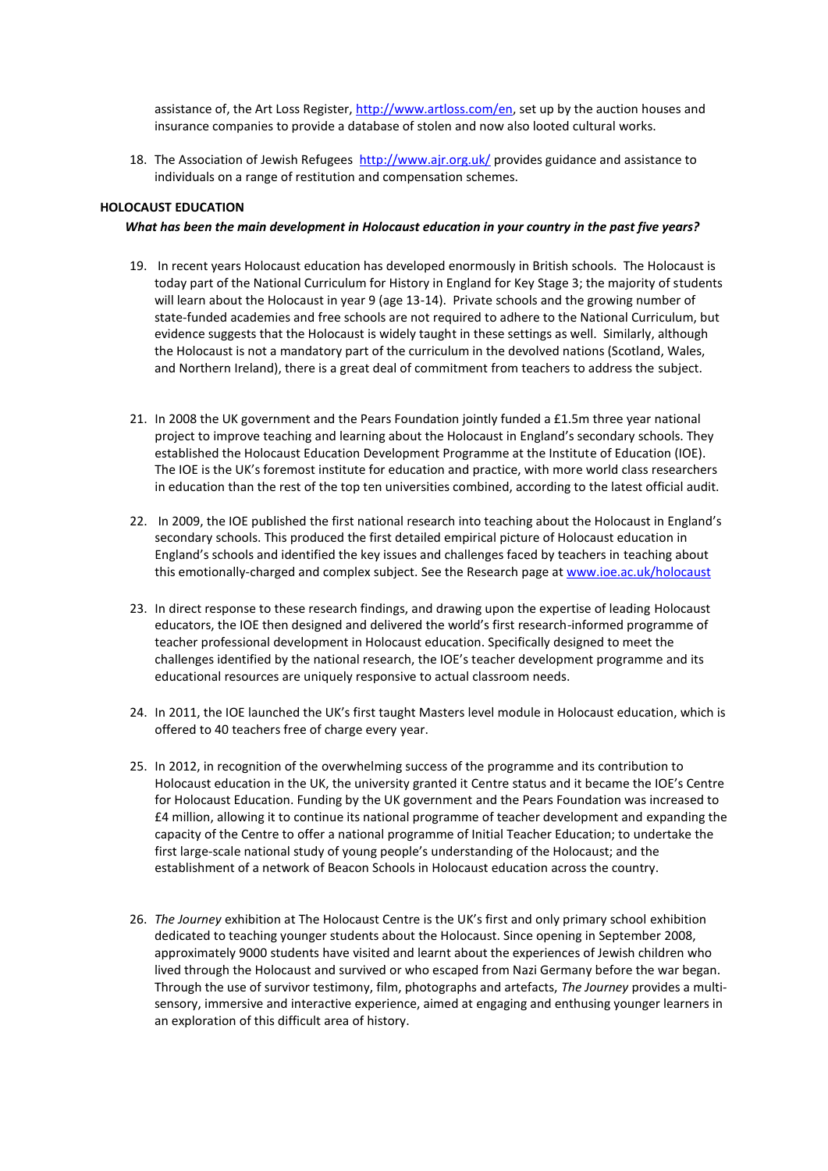assistance of, the Art Loss Register, [http://www.artloss.com/en,](http://www.artloss.com/en) set up by the auction houses and insurance companies to provide a database of stolen and now also looted cultural works.

18. The Association of Jewish Refugees<http://www.ajr.org.uk/> provides guidance and assistance to individuals on a range of restitution and compensation schemes.

#### **HOLOCAUST EDUCATION**

#### *What has been the main development in Holocaust education in your country in the past five years?*

- 19. In recent years Holocaust education has developed enormously in British schools. The Holocaust is today part of the National Curriculum for History in England for Key Stage 3; the majority of students will learn about the Holocaust in year 9 (age 13-14). Private schools and the growing number of state-funded academies and free schools are not required to adhere to the National Curriculum, but evidence suggests that the Holocaust is widely taught in these settings as well. Similarly, although the Holocaust is not a mandatory part of the curriculum in the devolved nations (Scotland, Wales, and Northern Ireland), there is a great deal of commitment from teachers to address the subject.
- 21. In 2008 the UK government and the Pears Foundation jointly funded a £1.5m three year national project to improve teaching and learning about the Holocaust in England's secondary schools. They established the Holocaust Education Development Programme at the Institute of Education (IOE). The IOE is the UK's foremost institute for education and practice, with more world class researchers in education than the rest of the top ten universities combined, according to the latest official audit.
- 22. In 2009, the IOE published the first national research into teaching about the Holocaust in England's secondary schools. This produced the first detailed empirical picture of Holocaust education in England's schools and identified the key issues and challenges faced by teachers in teaching about this emotionally-charged and complex subject. See the Research page a[t www.ioe.ac.uk/holocaust](http://www.ioe.ac.uk/holocaust)
- 23. In direct response to these research findings, and drawing upon the expertise of leading Holocaust educators, the IOE then designed and delivered the world's first research-informed programme of teacher professional development in Holocaust education. Specifically designed to meet the challenges identified by the national research, the IOE's teacher development programme and its educational resources are uniquely responsive to actual classroom needs.
- 24. In 2011, the IOE launched the UK's first taught Masters level module in Holocaust education, which is offered to 40 teachers free of charge every year.
- 25. In 2012, in recognition of the overwhelming success of the programme and its contribution to Holocaust education in the UK, the university granted it Centre status and it became the IOE's Centre for Holocaust Education. Funding by the UK government and the Pears Foundation was increased to £4 million, allowing it to continue its national programme of teacher development and expanding the capacity of the Centre to offer a national programme of Initial Teacher Education; to undertake the first large-scale national study of young people's understanding of the Holocaust; and the establishment of a network of Beacon Schools in Holocaust education across the country.
- 26. *The Journey* exhibition at The Holocaust Centre is the UK's first and only primary school exhibition dedicated to teaching younger students about the Holocaust. Since opening in September 2008, approximately 9000 students have visited and learnt about the experiences of Jewish children who lived through the Holocaust and survived or who escaped from Nazi Germany before the war began. Through the use of survivor testimony, film, photographs and artefacts, *The Journey* provides a multisensory, immersive and interactive experience, aimed at engaging and enthusing younger learners in an exploration of this difficult area of history.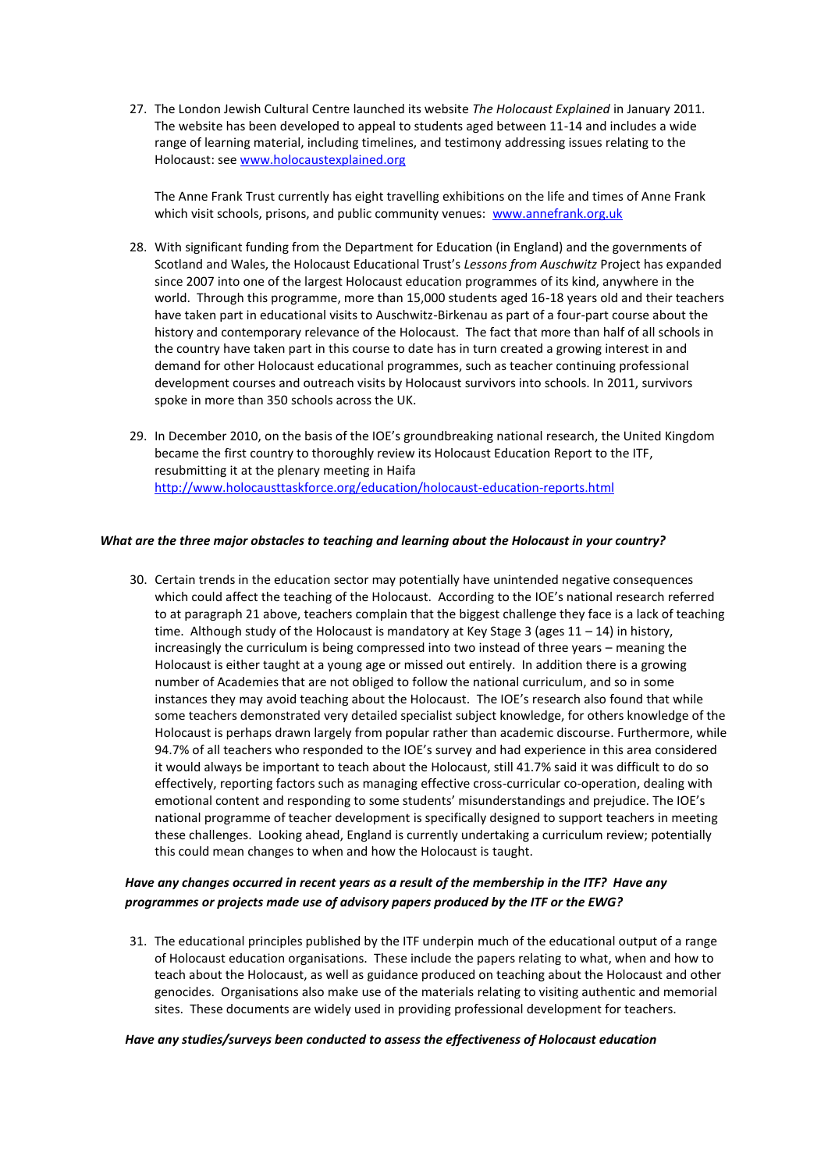27. The London Jewish Cultural Centre launched its website *The Holocaust Explained* in January 2011. The website has been developed to appeal to students aged between 11-14 and includes a wide range of learning material, including timelines, and testimony addressing issues relating to the Holocaust: see [www.holocaustexplained.org](http://www.holocaustexplained.org/)

The Anne Frank Trust currently has eight travelling exhibitions on the life and times of Anne Frank which visit schools, prisons, and public community venues: [www.annefrank.org.uk](http://www.annefrank.org.uk/)

- 28. With significant funding from the Department for Education (in England) and the governments of Scotland and Wales, the Holocaust Educational Trust's *Lessons from Auschwitz* Project has expanded since 2007 into one of the largest Holocaust education programmes of its kind, anywhere in the world. Through this programme, more than 15,000 students aged 16-18 years old and their teachers have taken part in educational visits to Auschwitz-Birkenau as part of a four-part course about the history and contemporary relevance of the Holocaust. The fact that more than half of all schools in the country have taken part in this course to date has in turn created a growing interest in and demand for other Holocaust educational programmes, such as teacher continuing professional development courses and outreach visits by Holocaust survivors into schools. In 2011, survivors spoke in more than 350 schools across the UK.
- 29. In December 2010, on the basis of the IOE's groundbreaking national research, the United Kingdom became the first country to thoroughly review its Holocaust Education Report to the ITF, resubmitting it at the plenary meeting in Haifa <http://www.holocausttaskforce.org/education/holocaust-education-reports.html>

#### *What are the three major obstacles to teaching and learning about the Holocaust in your country?*

30. Certain trends in the education sector may potentially have unintended negative consequences which could affect the teaching of the Holocaust. According to the IOE's national research referred to at paragraph 21 above, teachers complain that the biggest challenge they face is a lack of teaching time. Although study of the Holocaust is mandatory at Key Stage 3 (ages 11 - 14) in history, increasingly the curriculum is being compressed into two instead of three years – meaning the Holocaust is either taught at a young age or missed out entirely. In addition there is a growing number of Academies that are not obliged to follow the national curriculum, and so in some instances they may avoid teaching about the Holocaust. The IOE's research also found that while some teachers demonstrated very detailed specialist subject knowledge, for others knowledge of the Holocaust is perhaps drawn largely from popular rather than academic discourse. Furthermore, while 94.7% of all teachers who responded to the IOE's survey and had experience in this area considered it would always be important to teach about the Holocaust, still 41.7% said it was difficult to do so effectively, reporting factors such as managing effective cross-curricular co-operation, dealing with emotional content and responding to some students' misunderstandings and prejudice. The IOE's national programme of teacher development is specifically designed to support teachers in meeting these challenges. Looking ahead, England is currently undertaking a curriculum review; potentially this could mean changes to when and how the Holocaust is taught.

### *Have any changes occurred in recent years as a result of the membership in the ITF? Have any programmes or projects made use of advisory papers produced by the ITF or the EWG?*

31. The educational principles published by the ITF underpin much of the educational output of a range of Holocaust education organisations. These include the papers relating to what, when and how to teach about the Holocaust, as well as guidance produced on teaching about the Holocaust and other genocides. Organisations also make use of the materials relating to visiting authentic and memorial sites. These documents are widely used in providing professional development for teachers.

#### *Have any studies/surveys been conducted to assess the effectiveness of Holocaust education*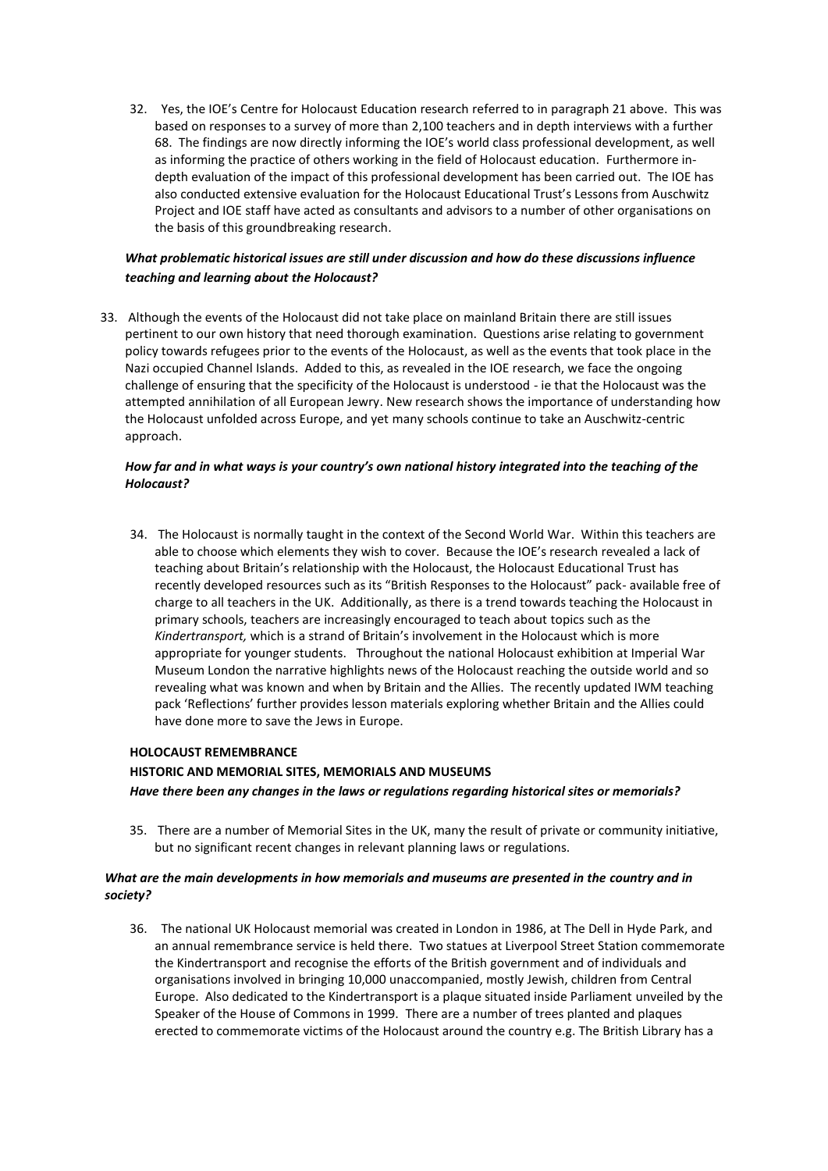32. Yes, the IOE's Centre for Holocaust Education research referred to in paragraph 21 above. This was based on responses to a survey of more than 2,100 teachers and in depth interviews with a further 68. The findings are now directly informing the IOE's world class professional development, as well as informing the practice of others working in the field of Holocaust education. Furthermore indepth evaluation of the impact of this professional development has been carried out. The IOE has also conducted extensive evaluation for the Holocaust Educational Trust's Lessons from Auschwitz Project and IOE staff have acted as consultants and advisors to a number of other organisations on the basis of this groundbreaking research.

### *What problematic historical issues are still under discussion and how do these discussions influence teaching and learning about the Holocaust?*

33. Although the events of the Holocaust did not take place on mainland Britain there are still issues pertinent to our own history that need thorough examination. Questions arise relating to government policy towards refugees prior to the events of the Holocaust, as well as the events that took place in the Nazi occupied Channel Islands. Added to this, as revealed in the IOE research, we face the ongoing challenge of ensuring that the specificity of the Holocaust is understood - ie that the Holocaust was the attempted annihilation of all European Jewry. New research shows the importance of understanding how the Holocaust unfolded across Europe, and yet many schools continue to take an Auschwitz-centric approach.

#### *How far and in what ways is your country's own national history integrated into the teaching of the Holocaust?*

34. The Holocaust is normally taught in the context of the Second World War. Within this teachers are able to choose which elements they wish to cover. Because the IOE's research revealed a lack of teaching about Britain's relationship with the Holocaust, the Holocaust Educational Trust has recently developed resources such as its "British Responses to the Holocaust" pack- available free of charge to all teachers in the UK. Additionally, as there is a trend towards teaching the Holocaust in primary schools, teachers are increasingly encouraged to teach about topics such as the *Kindertransport,* which is a strand of Britain's involvement in the Holocaust which is more appropriate for younger students. Throughout the national Holocaust exhibition at Imperial War Museum London the narrative highlights news of the Holocaust reaching the outside world and so revealing what was known and when by Britain and the Allies. The recently updated IWM teaching pack 'Reflections' further provides lesson materials exploring whether Britain and the Allies could have done more to save the Jews in Europe.

### **HOLOCAUST REMEMBRANCE**

### **HISTORIC AND MEMORIAL SITES, MEMORIALS AND MUSEUMS** *Have there been any changes in the laws or regulations regarding historical sites or memorials?*

35. There are a number of Memorial Sites in the UK, many the result of private or community initiative, but no significant recent changes in relevant planning laws or regulations.

#### *What are the main developments in how memorials and museums are presented in the country and in society?*

36. The national UK Holocaust memorial was created in London in 1986, at The Dell in Hyde Park, and an annual remembrance service is held there. Two statues at Liverpool Street Station commemorate the Kindertransport and recognise the efforts of the British government and of individuals and organisations involved in bringing 10,000 unaccompanied, mostly Jewish, children from Central Europe. Also dedicated to the Kindertransport is a plaque situated inside Parliament unveiled by the Speaker of the House of Commons in 1999. There are a number of trees planted and plaques erected to commemorate victims of the Holocaust around the country e.g. The British Library has a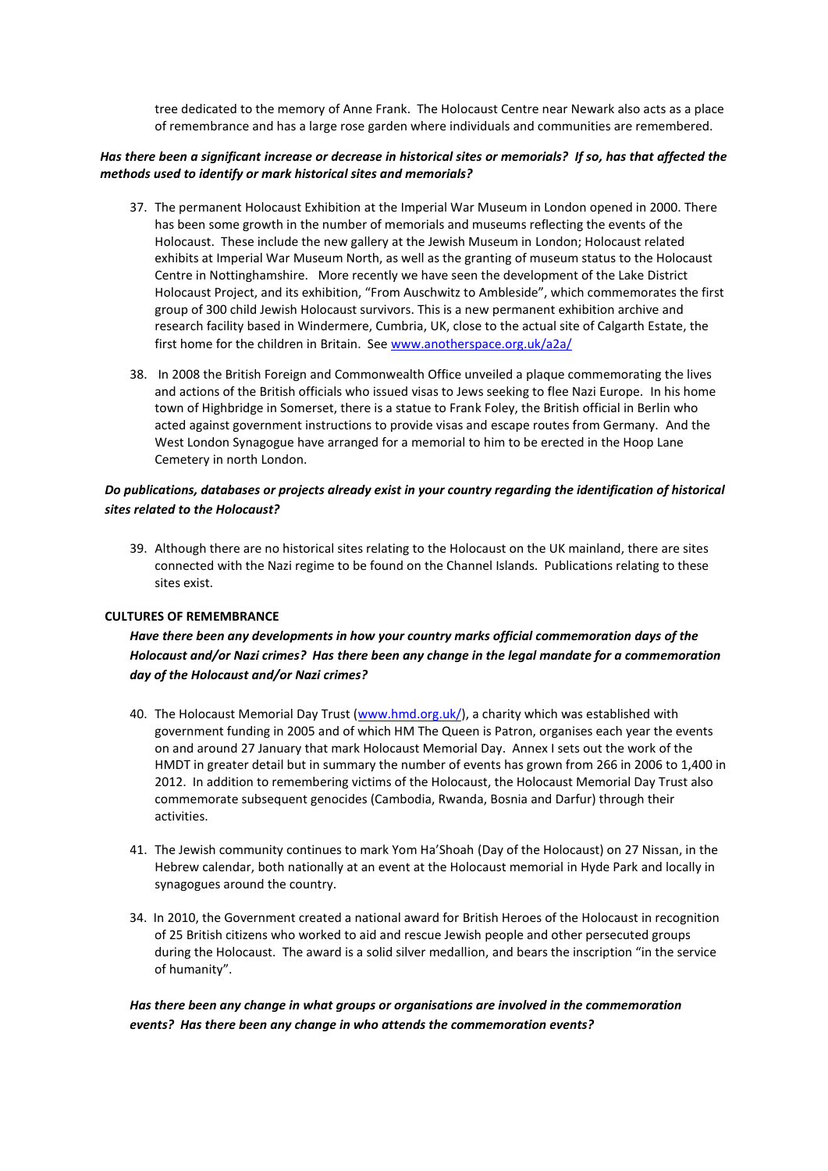tree dedicated to the memory of Anne Frank. The Holocaust Centre near Newark also acts as a place of remembrance and has a large rose garden where individuals and communities are remembered.

#### *Has there been a significant increase or decrease in historical sites or memorials? If so, has that affected the methods used to identify or mark historical sites and memorials?*

- 37. The permanent Holocaust Exhibition at the Imperial War Museum in London opened in 2000. There has been some growth in the number of memorials and museums reflecting the events of the Holocaust. These include the new gallery at the Jewish Museum in London; Holocaust related exhibits at Imperial War Museum North, as well as the granting of museum status to the Holocaust Centre in Nottinghamshire. More recently we have seen the development of the Lake District Holocaust Project, and its exhibition, "From Auschwitz to Ambleside", which commemorates the first group of 300 child Jewish Holocaust survivors. This is a new permanent exhibition archive and research facility based in Windermere, Cumbria, UK, close to the actual site of Calgarth Estate, the first home for the children in Britain. See [www.anotherspace.org.uk/a2a/](http://www.anotherspace.org.uk/a2a/)
- 38. In 2008 the British Foreign and Commonwealth Office unveiled a plaque commemorating the lives and actions of the British officials who issued visas to Jews seeking to flee Nazi Europe. In his home town of Highbridge in Somerset, there is a statue to Frank Foley, the British official in Berlin who acted against government instructions to provide visas and escape routes from Germany. And the West London Synagogue have arranged for a memorial to him to be erected in the Hoop Lane Cemetery in north London.

### *Do publications, databases or projects already exist in your country regarding the identification of historical sites related to the Holocaust?*

39. Although there are no historical sites relating to the Holocaust on the UK mainland, there are sites connected with the Nazi regime to be found on the Channel Islands. Publications relating to these sites exist.

#### **CULTURES OF REMEMBRANCE**

# *Have there been any developments in how your country marks official commemoration days of the Holocaust and/or Nazi crimes? Has there been any change in the legal mandate for a commemoration day of the Holocaust and/or Nazi crimes?*

- 40. The Holocaust Memorial Day Trust [\(www.hmd.org.uk/\)](http://www.hmd.org.uk/), a charity which was established with government funding in 2005 and of which HM The Queen is Patron, organises each year the events on and around 27 January that mark Holocaust Memorial Day. Annex I sets out the work of the HMDT in greater detail but in summary the number of events has grown from 266 in 2006 to 1,400 in 2012. In addition to remembering victims of the Holocaust, the Holocaust Memorial Day Trust also commemorate subsequent genocides (Cambodia, Rwanda, Bosnia and Darfur) through their activities.
- 41. The Jewish community continues to mark Yom Ha'Shoah (Day of the Holocaust) on 27 Nissan, in the Hebrew calendar, both nationally at an event at the Holocaust memorial in Hyde Park and locally in synagogues around the country.
- 34. In 2010, the Government created a national award for British Heroes of the Holocaust in recognition of 25 British citizens who worked to aid and rescue Jewish people and other persecuted groups during the Holocaust. The award is a solid silver medallion, and bears the inscription "in the service of humanity".

*Has there been any change in what groups or organisations are involved in the commemoration events? Has there been any change in who attends the commemoration events?*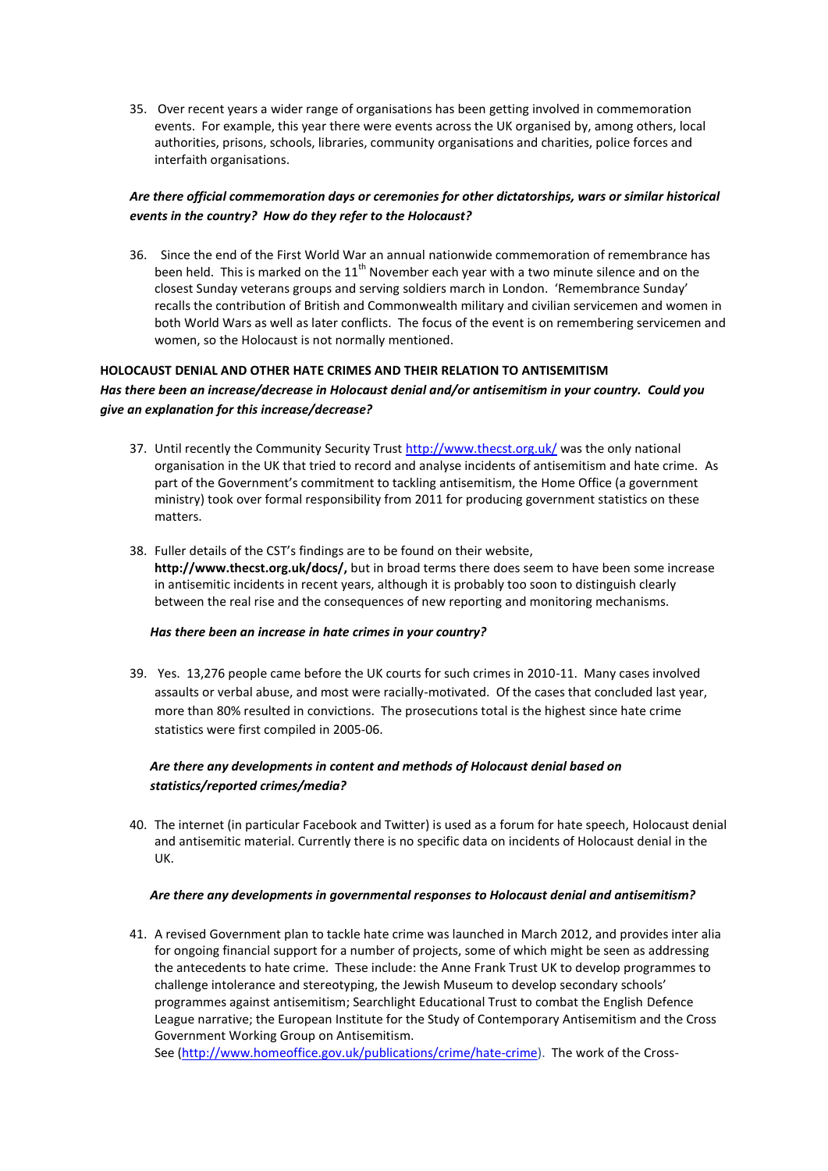35. Over recent years a wider range of organisations has been getting involved in commemoration events. For example, this year there were events across the UK organised by, among others, local authorities, prisons, schools, libraries, community organisations and charities, police forces and interfaith organisations.

### *Are there official commemoration days or ceremonies for other dictatorships, wars or similar historical events in the country? How do they refer to the Holocaust?*

36. Since the end of the First World War an annual nationwide commemoration of remembrance has been held. This is marked on the  $11<sup>th</sup>$  November each year with a two minute silence and on the closest Sunday veterans groups and serving soldiers march in London. 'Remembrance Sunday' recalls the contribution of British and Commonwealth military and civilian servicemen and women in both World Wars as well as later conflicts. The focus of the event is on remembering servicemen and women, so the Holocaust is not normally mentioned.

# **HOLOCAUST DENIAL AND OTHER HATE CRIMES AND THEIR RELATION TO ANTISEMITISM**

#### *Has there been an increase/decrease in Holocaust denial and/or antisemitism in your country. Could you give an explanation for this increase/decrease?*

- 37. Until recently the Community Security Trust<http://www.thecst.org.uk/> was the only national organisation in the UK that tried to record and analyse incidents of antisemitism and hate crime. As part of the Government's commitment to tackling antisemitism, the Home Office (a government ministry) took over formal responsibility from 2011 for producing government statistics on these matters.
- 38. Fuller details of the CST's findings are to be found on their website, **http://www.thecst.org.uk/docs/,** but in broad terms there does seem to have been some increase in antisemitic incidents in recent years, although it is probably too soon to distinguish clearly between the real rise and the consequences of new reporting and monitoring mechanisms.

### *Has there been an increase in hate crimes in your country?*

39. Yes. 13,276 people came before the UK courts for such crimes in 2010-11. Many cases involved assaults or verbal abuse, and most were racially-motivated. Of the cases that concluded last year, more than 80% resulted in convictions. The prosecutions total is the highest since hate crime statistics were first compiled in 2005-06.

### *Are there any developments in content and methods of Holocaust denial based on statistics/reported crimes/media?*

40. The internet (in particular Facebook and Twitter) is used as a forum for hate speech, Holocaust denial and antisemitic material. Currently there is no specific data on incidents of Holocaust denial in the UK.

### *Are there any developments in governmental responses to Holocaust denial and antisemitism?*

41. A revised Government plan to tackle hate crime was launched in March 2012, and provides inter alia for ongoing financial support for a number of projects, some of which might be seen as addressing the antecedents to hate crime. These include: the Anne Frank Trust UK to develop programmes to challenge intolerance and stereotyping, the Jewish Museum to develop secondary schools' programmes against antisemitism; Searchlight Educational Trust to combat the English Defence League narrative; the European Institute for the Study of Contemporary Antisemitism and the Cross Government Working Group on Antisemitism.

See [\(http://www.homeoffice.gov.uk/publications/crime/hate-crime\)](http://www.homeoffice.gov.uk/publications/crime/hate-crime). The work of the Cross-